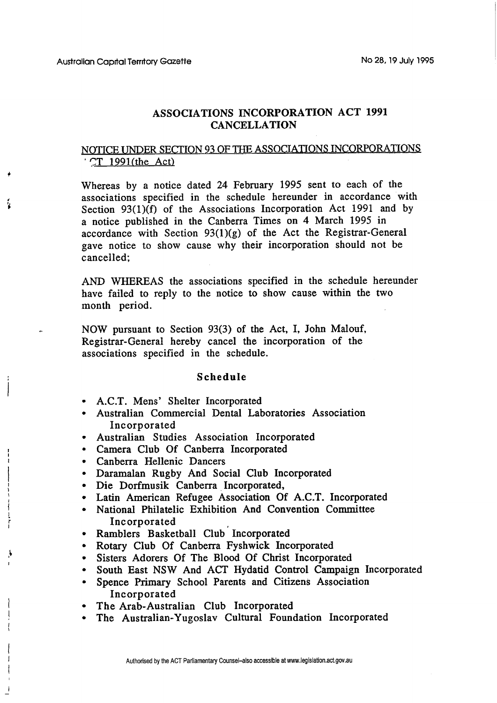## **ASSOCIATIONS INCORPORATION ACT 1991 CANCELLATION**

## NOTICE UNDER SECTION 93 OF THE ASSOCIATIONS INCORPORATIONS **CT** 1991(the Act)

Whereas by a notice dated 24 February 1995 sent to each of the associations specified in the schedule hereunder in accordance with Section 93(l)(f) of the Associations Incorporation Act 1991 and by a notice published in the Canberra Times on 4 March 1995 in accordance with Section  $93(1)(g)$  of the Act the Registrar-General gave notice to show cause why their incorporation should not be cancelled;

AND WHEREAS the associations specified in the schedule hereunder have failed to reply to the notice to show cause within the two month period.

NOW pursuant to Section 93(3) of the Act, I, John Malouf, Registrar-General hereby cancel the incorporation of the associations specified in the schedule.

## **Schedule**

- A.C.T. Mens' Shelter Incorporated
- Australian Commercial Dental Laboratories Association Incorporated
- Australian Studies Association Incorporated  $\bullet$
- Camera Club Of Canberra Incorporated
- Canberra Hellenic Dancers
- Daramalan Rugby And Social Club Incorporated
- Die Dorfmusik Canberra Incorporated,
- Latin American Refugee Association Of A.C.T. Incorporated
- National Philatelic Exhibition And Convention Committee Incorporated
- Ramblers Basketball Club Incorporated
- Rotary Club Of Canberra Fyshwick Incorporated
- Sisters Adorers Of The Blood Of Christ Incorporated
- South East **NSW** And **ACT** Hydatid Control Campaign Incorporated
- Spence Primary School Parents and Citizens Association Incorporated
- The Arab-Australian Club Incorporated
- The Australian-Yugoslav Cultural Foundation Incorporated